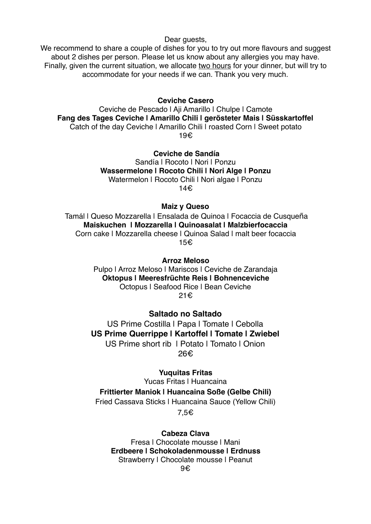Dear guests,

We recommend to share a couple of dishes for you to try out more flavours and suggest about 2 dishes per person. Please let us know about any allergies you may have. Finally, given the current situation, we allocate two hours for your dinner, but will try to accommodate for your needs if we can. Thank you very much.

**Ceviche Casero**

Ceviche de Pescado | Aji Amarillo | Chulpe | Camote **Fang des Tages Ceviche | Amarillo Chili | gerösteter Mais | Süsskartoffel** Catch of the day Ceviche | Amarillo Chili | roasted Corn | Sweet potato 19€

> **Ceviche de Sandía** Sandía | Rocoto | Nori | Ponzu **Wassermelone | Rocoto Chili | Nori Alge | Ponzu** Watermelon | Rocoto Chili | Nori algae | Ponzu 14€

> > **Maiz y Queso**

 Tamál | Queso Mozzarella | Ensalada de Quinoa | Focaccia de Cusqueña **Maiskuchen | Mozzarella | Quinoasalat | Malzbierfocaccia** Corn cake | Mozzarella cheese | Quinoa Salad | malt beer focaccia 15€

> **Arroz Meloso** Pulpo I Arroz Meloso I Mariscos I Ceviche de Zarandaja **Oktopus | Meeresfrüchte Reis | Bohnenceviche** Octopus | Seafood Rice | Bean Ceviche 21€

**Saltado no Saltado** US Prime Costilla | Papa | Tomate | Cebolla **US Prime Querrippe | Kartoffel | Tomate | Zwiebel** US Prime short rib | Potato | Tomato | Onion

26€

**Yuquitas Fritas**

Yucas Fritas | Huancaina

**Frittierter Maniok | Huancaina Soße (Gelbe Chili)**

Fried Cassava Sticks | Huancaina Sauce (Yellow Chili)

7,5€

**Cabeza Clava**

Fresa | Chocolate mousse | Mani **Erdbeere | Schokoladenmousse | Erdnuss** Strawberry I Chocolate mousse I Peanut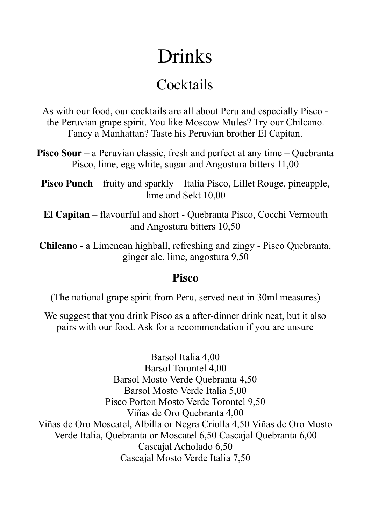# Drinks

## **Cocktails**

As with our food, our cocktails are all about Peru and especially Pisco the Peruvian grape spirit. You like Moscow Mules? Try our Chilcano. Fancy a Manhattan? Taste his Peruvian brother El Capitan.

**Pisco Sour** – a Peruvian classic, fresh and perfect at any time – Quebranta Pisco, lime, egg white, sugar and Angostura bitters 11,00

**Pisco Punch** – fruity and sparkly – Italia Pisco, Lillet Rouge, pineapple, lime and Sekt 10,00

**El Capitan** – flavourful and short - Quebranta Pisco, Cocchi Vermouth and Angostura bitters 10,50

**Chilcano** - a Limenean highball, refreshing and zingy - Pisco Quebranta, ginger ale, lime, angostura 9,50

#### **Pisco**

(The national grape spirit from Peru, served neat in 30ml measures)

We suggest that you drink Pisco as a after-dinner drink neat, but it also pairs with our food. Ask for a recommendation if you are unsure

Barsol Italia 4,00 Barsol Torontel 4,00 Barsol Mosto Verde Quebranta 4,50 Barsol Mosto Verde Italia 5,00 Pisco Porton Mosto Verde Torontel 9,50 Viñas de Oro Quebranta 4,00 Viñas de Oro Moscatel, Albilla or Negra Criolla 4,50 Viñas de Oro Mosto Verde Italia, Quebranta or Moscatel 6,50 Cascajal Quebranta 6,00 Cascajal Acholado 6,50 Cascajal Mosto Verde Italia 7,50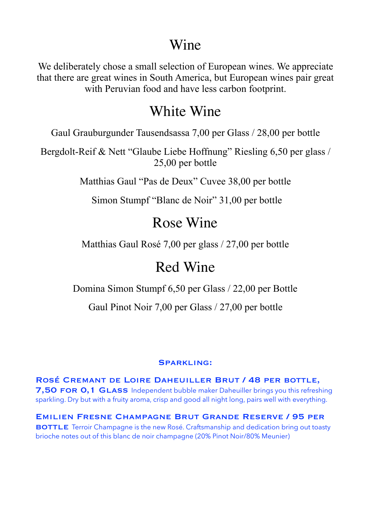### Wine

We deliberately chose a small selection of European wines. We appreciate that there are great wines in South America, but European wines pair great with Peruvian food and have less carbon footprint.

## White Wine

Gaul Grauburgunder Tausendsassa 7,00 per Glass / 28,00 per bottle

Bergdolt-Reif & Nett "Glaube Liebe Hoffnung" Riesling 6,50 per glass / 25,00 per bottle

Matthias Gaul "Pas de Deux" Cuvee 38,00 per bottle

Simon Stumpf "Blanc de Noir" 31,00 per bottle

## Rose Wine

Matthias Gaul Rosé 7,00 per glass / 27,00 per bottle

## Red Wine

Domina Simon Stumpf 6,50 per Glass / 22,00 per Bottle

Gaul Pinot Noir 7,00 per Glass / 27,00 per bottle

#### Sparkling:

Rosé Cremant de Loire Daheuiller Brut / 48 per bottle, 7,50 FOR 0,1 GLASS Independent bubble maker Daheuiller brings you this refreshing sparkling. Dry but with a fruity aroma, crisp and good all night long, pairs well with everything.

Emilien Fresne Champagne Brut Grande Reserve / 95 per **BOTTLE** Terroir Champagne is the new Rosé. Craftsmanship and dedication bring out toasty brioche notes out of this blanc de noir champagne (20% Pinot Noir/80% Meunier)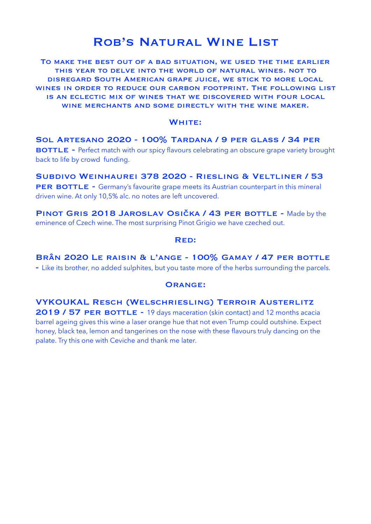### Rob's Natural Wine List

To make the best out of a bad situation, we used the time earlier this year to delve into the world of natural wines. not to disregard South American grape juice, we stick to more local wines in order to reduce our carbon footprint. The following list is an eclectic mix of wines that we discovered with four local wine merchants and some directly with the wine maker.

#### WHITE:

Sol Artesano 2020 - 100% Tardana / 9 per glass / 34 per **BOTTLE** - Perfect match with our spicy flavours celebrating an obscure grape variety brought back to life by crowd funding.

Subdivo Weinhaurei 378 2020 - Riesling & Veltliner / 53 **PER BOTTLE -** Germany's favourite grape meets its Austrian counterpart in this mineral driven wine. At only 10,5% alc. no notes are left uncovered.

PINOT GRIS 2018 JAROSLAV OSIČKA / 43 PER BOTTLE - Made by the eminence of Czech wine. The most surprising Pinot Grigio we have czeched out.

#### Red:

Brân 2020 Le raisin & l'ange - 100% Gamay / 47 per bottle - Like its brother, no added sulphites, but you taste more of the herbs surrounding the parcels.

#### Orange:

VYKOUKAL Resch (Welschriesling) Terroir Austerlitz

2019 / 57 PER BOTTLE - 19 days maceration (skin contact) and 12 months acacia barrel ageing gives this wine a laser orange hue that not even Trump could outshine. Expect honey, black tea, lemon and tangerines on the nose with these flavours truly dancing on the palate. Try this one with Ceviche and thank me later.